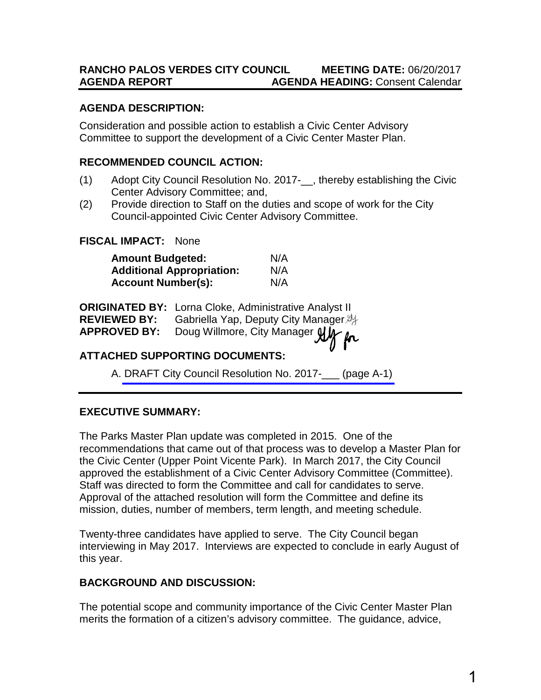### **RANCHO PALOS VERDES CITY COUNCIL MEETING DATE:** 06/20/2017 **AGENDA REPORT AGENDA HEADING:** Consent Calendar

#### **AGENDA DESCRIPTION:**

Consideration and possible action to establish a Civic Center Advisory Committee to support the development of a Civic Center Master Plan.

#### **RECOMMENDED COUNCIL ACTION:**

- (1) Adopt City Council Resolution No. 2017- , thereby establishing the Civic Center Advisory Committee; and,
- (2) Provide direction to Staff on the duties and scope of work for the City Council-appointed Civic Center Advisory Committee.

### **FISCAL IMPACT:** None

| <b>Amount Budgeted:</b>          | N/A |
|----------------------------------|-----|
| <b>Additional Appropriation:</b> | N/A |
| <b>Account Number(s):</b>        | N/A |

|                     | <b>ORIGINATED BY:</b> Lorna Cloke, Administrative Analyst II |
|---------------------|--------------------------------------------------------------|
| <b>REVIEWED BY:</b> | Gabriella Yap, Deputy City Manager.                          |
| <b>APPROVED BY:</b> | Doug Willmore, City Manager $\mathfrak{glM}$                 |

## **ATTACHED SUPPORTING DOCUMENTS:**

A. [DRAFT City Council Resolution No. 2017-\\_\\_\\_](#page-3-0) (page A-1)

## **EXECUTIVE SUMMARY:**

The Parks Master Plan update was completed in 2015. One of the recommendations that came out of that process was to develop a Master Plan for the Civic Center (Upper Point Vicente Park). In March 2017, the City Council approved the establishment of a Civic Center Advisory Committee (Committee). Staff was directed to form the Committee and call for candidates to serve. Approval of the attached resolution will form the Committee and define its mission, duties, number of members, term length, and meeting schedule.

Twenty-three candidates have applied to serve. The City Council began interviewing in May 2017. Interviews are expected to conclude in early August of this year.

## **BACKGROUND AND DISCUSSION:**

The potential scope and community importance of the Civic Center Master Plan merits the formation of a citizen's advisory committee. The guidance, advice,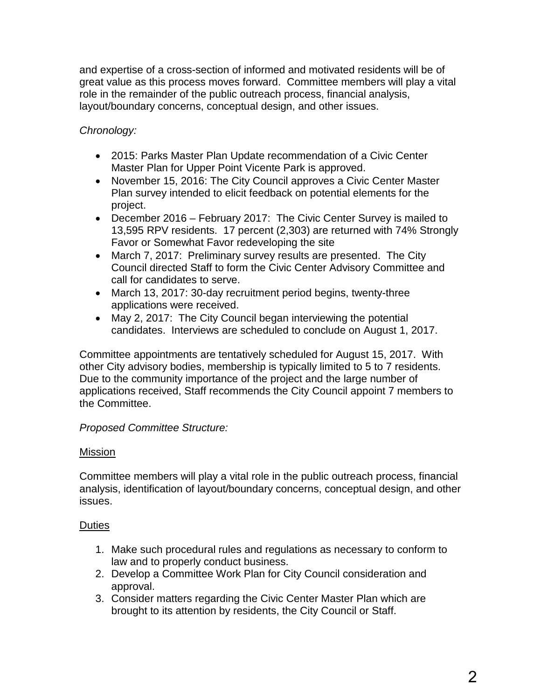and expertise of a cross-section of informed and motivated residents will be of great value as this process moves forward. Committee members will play a vital role in the remainder of the public outreach process, financial analysis, layout/boundary concerns, conceptual design, and other issues.

# *Chronology:*

- 2015: Parks Master Plan Update recommendation of a Civic Center Master Plan for Upper Point Vicente Park is approved.
- November 15, 2016: The City Council approves a Civic Center Master Plan survey intended to elicit feedback on potential elements for the project.
- December 2016 February 2017: The Civic Center Survey is mailed to 13,595 RPV residents. 17 percent (2,303) are returned with 74% Strongly Favor or Somewhat Favor redeveloping the site
- March 7, 2017: Preliminary survey results are presented. The City Council directed Staff to form the Civic Center Advisory Committee and call for candidates to serve.
- March 13, 2017: 30-day recruitment period begins, twenty-three applications were received.
- May 2, 2017: The City Council began interviewing the potential candidates. Interviews are scheduled to conclude on August 1, 2017.

Committee appointments are tentatively scheduled for August 15, 2017. With other City advisory bodies, membership is typically limited to 5 to 7 residents. Due to the community importance of the project and the large number of applications received, Staff recommends the City Council appoint 7 members to the Committee.

## *Proposed Committee Structure:*

## Mission

Committee members will play a vital role in the public outreach process, financial analysis, identification of layout/boundary concerns, conceptual design, and other issues.

## **Duties**

- 1. Make such procedural rules and regulations as necessary to conform to law and to properly conduct business.
- 2. Develop a Committee Work Plan for City Council consideration and approval.
- 3. Consider matters regarding the Civic Center Master Plan which are brought to its attention by residents, the City Council or Staff.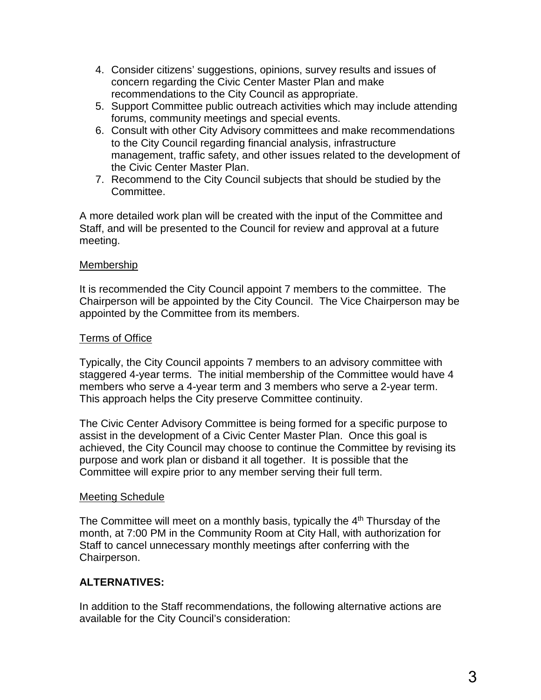- 4. Consider citizens' suggestions, opinions, survey results and issues of concern regarding the Civic Center Master Plan and make recommendations to the City Council as appropriate.
- 5. Support Committee public outreach activities which may include attending forums, community meetings and special events.
- 6. Consult with other City Advisory committees and make recommendations to the City Council regarding financial analysis, infrastructure management, traffic safety, and other issues related to the development of the Civic Center Master Plan.
- 7. Recommend to the City Council subjects that should be studied by the Committee.

A more detailed work plan will be created with the input of the Committee and Staff, and will be presented to the Council for review and approval at a future meeting.

#### Membership

It is recommended the City Council appoint 7 members to the committee. The Chairperson will be appointed by the City Council. The Vice Chairperson may be appointed by the Committee from its members.

### Terms of Office

Typically, the City Council appoints 7 members to an advisory committee with staggered 4-year terms. The initial membership of the Committee would have 4 members who serve a 4-year term and 3 members who serve a 2-year term. This approach helps the City preserve Committee continuity.

The Civic Center Advisory Committee is being formed for a specific purpose to assist in the development of a Civic Center Master Plan. Once this goal is achieved, the City Council may choose to continue the Committee by revising its purpose and work plan or disband it all together. It is possible that the Committee will expire prior to any member serving their full term.

#### Meeting Schedule

The Committee will meet on a monthly basis, typically the  $4<sup>th</sup>$  Thursday of the month, at 7:00 PM in the Community Room at City Hall, with authorization for Staff to cancel unnecessary monthly meetings after conferring with the Chairperson.

## **ALTERNATIVES:**

In addition to the Staff recommendations, the following alternative actions are available for the City Council's consideration: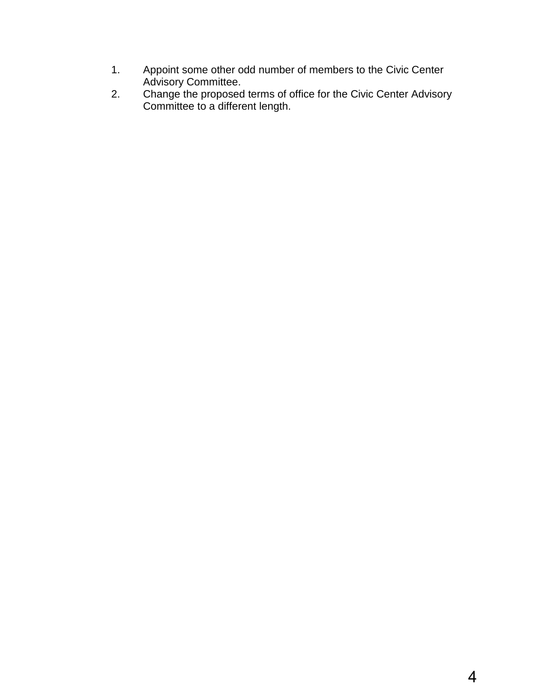- <span id="page-3-0"></span>1. Appoint some other odd number of members to the Civic Center Advisory Committee.
- 2. Change the proposed terms of office for the Civic Center Advisory Committee to a different length.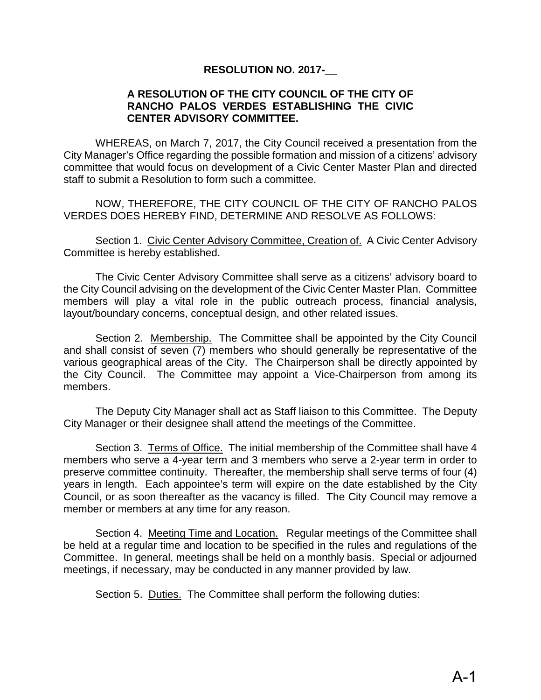### **RESOLUTION NO. 2017-\_\_**

#### **A RESOLUTION OF THE CITY COUNCIL OF THE CITY OF RANCHO PALOS VERDES ESTABLISHING THE CIVIC CENTER ADVISORY COMMITTEE.**

WHEREAS, on March 7, 2017, the City Council received a presentation from the City Manager's Office regarding the possible formation and mission of a citizens' advisory committee that would focus on development of a Civic Center Master Plan and directed staff to submit a Resolution to form such a committee.

NOW, THEREFORE, THE CITY COUNCIL OF THE CITY OF RANCHO PALOS VERDES DOES HEREBY FIND, DETERMINE AND RESOLVE AS FOLLOWS:

Section 1. Civic Center Advisory Committee, Creation of. A Civic Center Advisory Committee is hereby established.

The Civic Center Advisory Committee shall serve as a citizens' advisory board to the City Council advising on the development of the Civic Center Master Plan. Committee members will play a vital role in the public outreach process, financial analysis, layout/boundary concerns, conceptual design, and other related issues.

Section 2. Membership. The Committee shall be appointed by the City Council and shall consist of seven (7) members who should generally be representative of the various geographical areas of the City. The Chairperson shall be directly appointed by the City Council. The Committee may appoint a Vice-Chairperson from among its members.

The Deputy City Manager shall act as Staff liaison to this Committee. The Deputy City Manager or their designee shall attend the meetings of the Committee.

 Section 3. Terms of Office. The initial membership of the Committee shall have 4 members who serve a 4-year term and 3 members who serve a 2-year term in order to preserve committee continuity. Thereafter, the membership shall serve terms of four (4) years in length. Each appointee's term will expire on the date established by the City Council, or as soon thereafter as the vacancy is filled. The City Council may remove a member or members at any time for any reason.

Section 4. Meeting Time and Location. Regular meetings of the Committee shall be held at a regular time and location to be specified in the rules and regulations of the Committee. In general, meetings shall be held on a monthly basis. Special or adjourned meetings, if necessary, may be conducted in any manner provided by law.

Section 5. Duties. The Committee shall perform the following duties: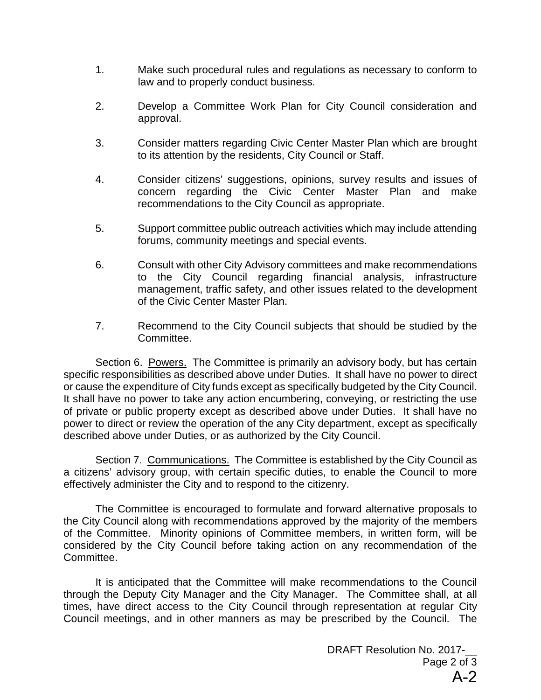- 1. Make such procedural rules and regulations as necessary to conform to law and to properly conduct business.
- 2. Develop a Committee Work Plan for City Council consideration and approval.
- 3. Consider matters regarding Civic Center Master Plan which are brought to its attention by the residents, City Council or Staff.
- 4. Consider citizens' suggestions, opinions, survey results and issues of concern regarding the Civic Center Master Plan and make recommendations to the City Council as appropriate.
- 5. Support committee public outreach activities which may include attending forums, community meetings and special events.
- 6. Consult with other City Advisory committees and make recommendations to the City Council regarding financial analysis, infrastructure management, traffic safety, and other issues related to the development of the Civic Center Master Plan.
- 7. Recommend to the City Council subjects that should be studied by the Committee.

Section 6. Powers. The Committee is primarily an advisory body, but has certain specific responsibilities as described above under Duties. It shall have no power to direct or cause the expenditure of City funds except as specifically budgeted by the City Council. It shall have no power to take any action encumbering, conveying, or restricting the use of private or public property except as described above under Duties. It shall have no power to direct or review the operation of the any City department, except as specifically described above under Duties, or as authorized by the City Council.

Section 7. Communications. The Committee is established by the City Council as a citizens' advisory group, with certain specific duties, to enable the Council to more effectively administer the City and to respond to the citizenry.

The Committee is encouraged to formulate and forward alternative proposals to the City Council along with recommendations approved by the majority of the members of the Committee. Minority opinions of Committee members, in written form, will be considered by the City Council before taking action on any recommendation of the Committee.

It is anticipated that the Committee will make recommendations to the Council through the Deputy City Manager and the City Manager. The Committee shall, at all times, have direct access to the City Council through representation at regular City Council meetings, and in other manners as may be prescribed by the Council. The